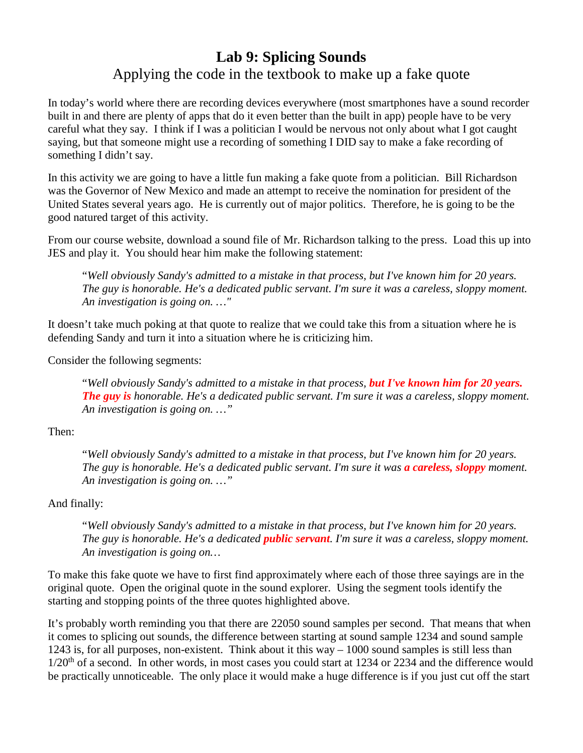## **Lab 9: Splicing Sounds** Applying the code in the textbook to make up a fake quote

In today's world where there are recording devices everywhere (most smartphones have a sound recorder built in and there are plenty of apps that do it even better than the built in app) people have to be very careful what they say. I think if I was a politician I would be nervous not only about what I got caught saying, but that someone might use a recording of something I DID say to make a fake recording of something I didn't say.

In this activity we are going to have a little fun making a fake quote from a politician. Bill Richardson was the Governor of New Mexico and made an attempt to receive the nomination for president of the United States several years ago. He is currently out of major politics. Therefore, he is going to be the good natured target of this activity.

From our course website, download a sound file of Mr. Richardson talking to the press. Load this up into JES and play it. You should hear him make the following statement:

"*Well obviously Sandy's admitted to a mistake in that process, but I've known him for 20 years. The guy is honorable. He's a dedicated public servant. I'm sure it was a careless, sloppy moment. An investigation is going on. …"*

It doesn't take much poking at that quote to realize that we could take this from a situation where he is defending Sandy and turn it into a situation where he is criticizing him.

Consider the following segments:

"*Well obviously Sandy's admitted to a mistake in that process, but I've known him for 20 years. The guy is honorable. He's a dedicated public servant. I'm sure it was a careless, sloppy moment. An investigation is going on. …"*

Then:

"*Well obviously Sandy's admitted to a mistake in that process, but I've known him for 20 years. The guy is honorable. He's a dedicated public servant. I'm sure it was a careless, sloppy moment. An investigation is going on. …"*

And finally:

"*Well obviously Sandy's admitted to a mistake in that process, but I've known him for 20 years. The guy is honorable. He's a dedicated public servant. I'm sure it was a careless, sloppy moment. An investigation is going on…*

To make this fake quote we have to first find approximately where each of those three sayings are in the original quote. Open the original quote in the sound explorer. Using the segment tools identify the starting and stopping points of the three quotes highlighted above.

It's probably worth reminding you that there are 22050 sound samples per second. That means that when it comes to splicing out sounds, the difference between starting at sound sample 1234 and sound sample 1243 is, for all purposes, non-existent. Think about it this way  $-1000$  sound samples is still less than  $1/20<sup>th</sup>$  of a second. In other words, in most cases you could start at 1234 or 2234 and the difference would be practically unnoticeable. The only place it would make a huge difference is if you just cut off the start